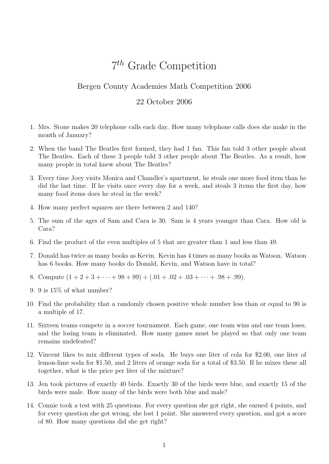## 7 th Grade Competition

## Bergen County Academies Math Competition 2006

## 22 October 2006

- 1. Mrs. Stone makes 20 telephone calls each day. How many telephone calls does she make in the month of January?
- 2. When the band The Beatles first formed, they had 1 fan. This fan told 3 other people about The Beatles. Each of these 3 people told 3 other people about The Beatles. As a result, how many people in total knew about The Beatles?
- 3. Every time Joey visits Monica and Chandler's apartment, he steals one more food item than he did the last time. If he visits once every day for a week, and steals 3 items the first day, how many food items does he steal in the week?
- 4. How many perfect squares are there between 2 and 140?
- 5. The sum of the ages of Sam and Cara is 30. Sam is 4 years younger than Cara. How old is Cara?
- 6. Find the product of the even multiples of 5 that are greater than 1 and less than 49.
- 7. Donald has twice as many books as Kevin. Kevin has 4 times as many books as Watson. Watson has 6 books. How many books do Donald, Kevin, and Watson have in total?
- 8. Compute  $(1 + 2 + 3 + \cdots + 98 + 99) \div (.01 + .02 + .03 + \cdots + .98 + .99)$ .
- 9. 9 is 15% of what number?
- 10. Find the probability that a randomly chosen positive whole number less than or equal to 90 is a multiple of 17.
- 11. Sixteen teams compete in a soccer tournament. Each game, one team wins and one team loses, and the losing team is eliminated. How many games must be played so that only one team remains undefeated?
- 12. Vincent likes to mix different types of soda. He buys one liter of cola for \$2.00, one liter of lemon-lime soda for \$1.50, and 2 liters of orange soda for a total of \$3.50. If he mixes these all together, what is the price per liter of the mixture?
- 13. Jen took pictures of exactly 40 birds. Exactly 30 of the birds were blue, and exactly 15 of the birds were male. How many of the birds were both blue and male?
- 14. Connie took a test with 25 questions. For every question she got right, she earned 4 points, and for every question she got wrong, she lost 1 point. She answered every question, and got a score of 80. How many questions did she get right?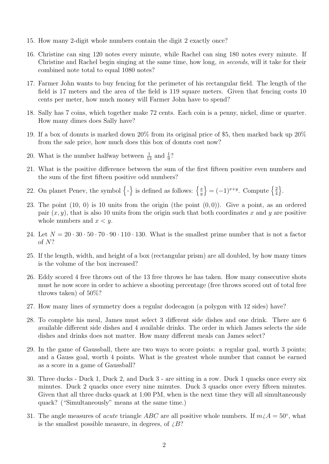- 15. How many 2-digit whole numbers contain the digit 2 exactly once?
- 16. Christine can sing 120 notes every minute, while Rachel can sing 180 notes every minute. If Christine and Rachel begin singing at the same time, how long, in seconds, will it take for their combined note total to equal 1080 notes?
- 17. Farmer John wants to buy fencing for the perimeter of his rectangular field. The length of the field is 17 meters and the area of the field is 119 square meters. Given that fencing costs 10 cents per meter, how much money will Farmer John have to spend?
- 18. Sally has 7 coins, which together make 72 cents. Each coin is a penny, nickel, dime or quarter. How many dimes does Sally have?
- 19. If a box of donuts is marked down 20% from its original price of \$5, then marked back up 20% from the sale price, how much does this box of donuts cost now?
- 20. What is the number halfway between  $\frac{1}{13}$  and  $\frac{1}{9}$ ?
- 21. What is the positive difference between the sum of the first fifteen positive even numbers and the sum of the first fifteen positive odd numbers?
- 22. On planet Penev, the symbol  $\{-\}$  is defined as follows:  $\frac{x}{y}$  $\overline{y}$  $\left\} = (-1)^{x+y}$ . Compute  $\left\{ \frac{2}{4} \right\}$ 4  $\big\}$ .
- 23. The point  $(10, 0)$  is 10 units from the origin (the point  $(0, 0)$ ). Give a point, as an ordered pair  $(x, y)$ , that is also 10 units from the origin such that both coordinates x and y are positive whole numbers and  $x < y$ .
- 24. Let  $N = 20 \cdot 30 \cdot 50 \cdot 70 \cdot 90 \cdot 110 \cdot 130$ . What is the smallest prime number that is not a factor of N?
- 25. If the length, width, and height of a box (rectangular prism) are all doubled, by how many times is the volume of the box increased?
- 26. Eddy scored 4 free throws out of the 13 free throws he has taken. How many consecutive shots must he now score in order to achieve a shooting percentage (free throws scored out of total free throws taken) of 50%?
- 27. How many lines of symmetry does a regular dodecagon (a polygon with 12 sides) have?
- 28. To complete his meal, James must select 3 different side dishes and one drink. There are 6 available different side dishes and 4 available drinks. The order in which James selects the side dishes and drinks does not matter. How many different meals can James select?
- 29. In the game of Gaussball, there are two ways to score points: a regular goal, worth 3 points; and a Gauss goal, worth 4 points. What is the greatest whole number that cannot be earned as a score in a game of Gaussball?
- 30. Three ducks Duck 1, Duck 2, and Duck 3 are sitting in a row. Duck 1 quacks once every six minutes. Duck 2 quacks once every nine minutes. Duck 3 quacks once every fifteen minutes. Given that all three ducks quack at 1:00 PM, when is the next time they will all simultaneously quack? ("Simultaneously" means at the same time.)
- 31. The angle measures of *acute* triangle ABC are all positive whole numbers. If  $m\angle A = 50°$ , what is the smallest possible measure, in degrees, of  $\angle B$ ?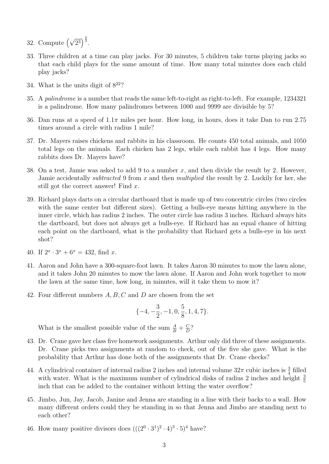- 32. Compute  $(\sqrt{2^3})^{\frac{4}{3}}$ .
- 33. Three children at a time can play jacks. For 30 minutes, 5 children take turns playing jacks so that each child plays for the same amount of time. How many total minutes does each child play jacks?
- 34. What is the units digit of  $8^{22}$ ?
- 35. A palindrome is a number that reads the same left-to-right as right-to-left. For example, 1234321 is a palindrome. How many palindromes between 1000 and 9999 are divisible by 5?
- 36. Dan runs at a speed of  $1.1\pi$  miles per hour. How long, in hours, does it take Dan to run 2.75 times around a circle with radius 1 mile?
- 37. Dr. Mayers raises chickens and rabbits in his classroom. He counts 450 total animals, and 1050 total legs on the animals. Each chicken has 2 legs, while each rabbit has 4 legs. How many rabbits does Dr. Mayers have?
- 38. On a test, Jamie was asked to add 9 to a number  $x$ , and then divide the result by 2. However, Jamie accidentally *subtracted* 9 from  $x$  and then *multiplied* the result by 2. Luckily for her, she still got the correct answer! Find x.
- 39. Richard plays darts on a circular dartboard that is made up of two concentric circles (two circles with the same center but different sizes). Getting a bulls-eye means hitting anywhere in the inner circle, which has radius 2 inches. The outer circle has radius 3 inches. Richard always hits the dartboard, but does not always get a bulls-eye. If Richard has an equal chance of hitting each point on the dartboard, what is the probability that Richard gets a bulls-eye in his next shot?
- 40. If  $2^x \cdot 3^x + 6^x = 432$ , find x.
- 41. Aaron and John have a 300-square-foot lawn. It takes Aaron 30 minutes to mow the lawn alone, and it takes John 20 minutes to mow the lawn alone. If Aaron and John work together to mow the lawn at the same time, how long, in minutes, will it take them to mow it?
- 42. Four different numbers  $A, B, C$  and  $D$  are chosen from the set

$$
\{-4, -\frac{3}{2}, -1, 0, \frac{5}{8}, 1, 4, 7\}.
$$

What is the smallest possible value of the sum  $\frac{A}{B} + \frac{C}{D}$  $\frac{C}{D}$ ?

- 43. Dr. Crane gave her class five homework assignments. Arthur only did three of these assignments. Dr. Crane picks two assignments at random to check, out of the five she gave. What is the probability that Arthur has done both of the assignments that Dr. Crane checks?
- 44. A cylindrical container of internal radius 2 inches and internal volume  $32\pi$  cubic inches is  $\frac{3}{4}$  filled with water. What is the maximum number of cylindrical disks of radius 2 inches and height  $\frac{3}{5}$ inch that can be added to the container without letting the water overflow?
- 45. Jimbo, Jun, Jay, Jacob, Janine and Jenna are standing in a line with their backs to a wall. How many different orders could they be standing in so that Jenna and Jimbo are standing next to each other?
- 46. How many positive divisors does  $(((2^0 \cdot 3^1)^2 \cdot 4)^3 \cdot 5)^4$  have?